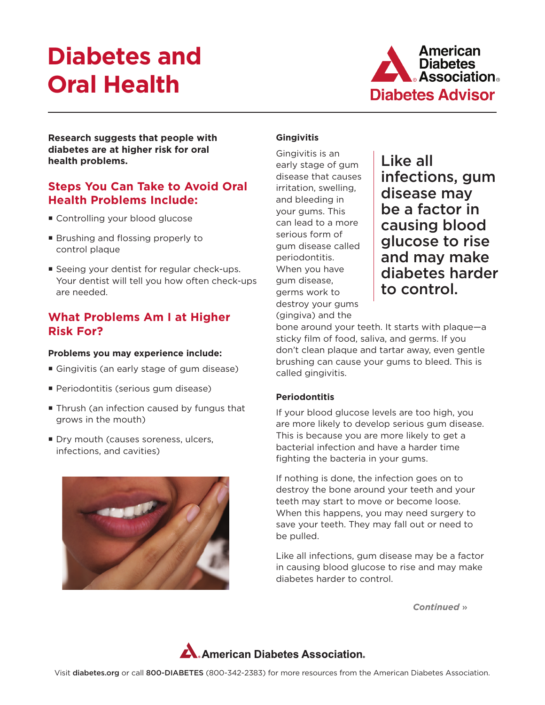# **Diabetes and Oral Health**



**Research suggests that people with diabetes are at higher risk for oral health problems.**

# **Steps You Can Take to Avoid Oral Health Problems Include:**

- Controlling your blood glucose
- **Brushing and flossing properly to** control plaque
- **Seeing your dentist for regular check-ups.** Your dentist will tell you how often check-ups are needed.

## **What Problems Am I at Higher Risk For?**

#### **Problems you may experience include:**

- Gingivitis (an early stage of gum disease)
- **Periodontitis (serious gum disease)**
- Thrush (an infection caused by fungus that grows in the mouth)
- Dry mouth (causes soreness, ulcers, infections, and cavities)



## **Gingivitis**

Gingivitis is an early stage of gum disease that causes irritation, swelling, and bleeding in your gums. This can lead to a more serious form of gum disease called periodontitis. When you have gum disease, germs work to destroy your gums (gingiva) and the

Like all infections, gum disease may be a factor in causing blood glucose to rise and may make diabetes harder to control.

bone around your teeth. It starts with plaque—a sticky film of food, saliva, and germs. If you don't clean plaque and tartar away, even gentle brushing can cause your gums to bleed. This is called gingivitis.

## **Periodontitis**

If your blood glucose levels are too high, you are more likely to develop serious gum disease. This is because you are more likely to get a bacterial infection and have a harder time fighting the bacteria in your gums.

If nothing is done, the infection goes on to destroy the bone around your teeth and your teeth may start to move or become loose. When this happens, you may need surgery to save your teeth. They may fall out or need to be pulled.

Like all infections, gum disease may be a factor in causing blood glucose to rise and may make diabetes harder to control.

*Continued* »